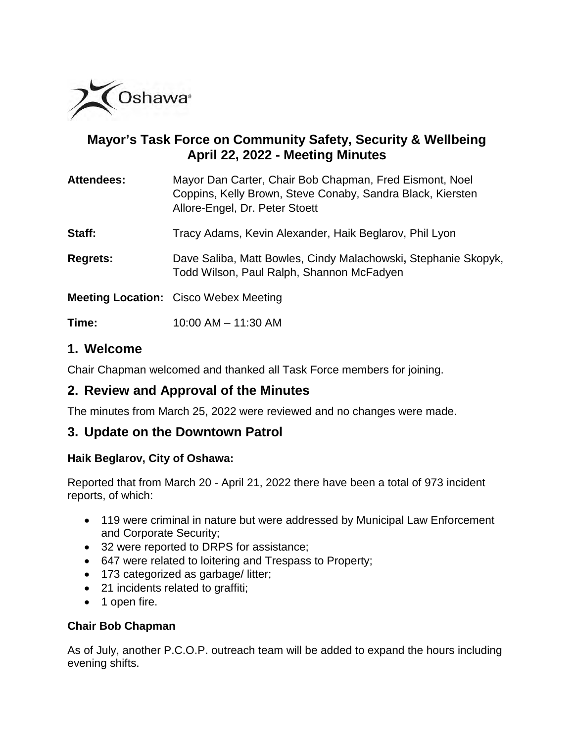

# **Mayor's Task Force on Community Safety, Security & Wellbeing April 22, 2022 - Meeting Minutes**

| <b>Attendees:</b> | Mayor Dan Carter, Chair Bob Chapman, Fred Eismont, Noel<br>Coppins, Kelly Brown, Steve Conaby, Sandra Black, Kiersten<br>Allore-Engel, Dr. Peter Stoett |
|-------------------|---------------------------------------------------------------------------------------------------------------------------------------------------------|
| Staff:            | Tracy Adams, Kevin Alexander, Haik Beglarov, Phil Lyon                                                                                                  |
| <b>Regrets:</b>   | Dave Saliba, Matt Bowles, Cindy Malachowski, Stephanie Skopyk,<br>Todd Wilson, Paul Ralph, Shannon McFadyen                                             |
|                   | <b>Meeting Location:</b> Cisco Webex Meeting                                                                                                            |

**Time:** 10:00 AM – 11:30 AM

## **1. Welcome**

Chair Chapman welcomed and thanked all Task Force members for joining.

# **2. Review and Approval of the Minutes**

The minutes from March 25, 2022 were reviewed and no changes were made.

## **3. Update on the Downtown Patrol**

#### **Haik Beglarov, City of Oshawa:**

Reported that from March 20 - April 21, 2022 there have been a total of 973 incident reports, of which:

- 119 were criminal in nature but were addressed by Municipal Law Enforcement and Corporate Security;
- 32 were reported to DRPS for assistance;
- 647 were related to loitering and Trespass to Property;
- 173 categorized as garbage/ litter;
- 21 incidents related to graffiti;
- 1 open fire.

## **Chair Bob Chapman**

As of July, another P.C.O.P. outreach team will be added to expand the hours including evening shifts.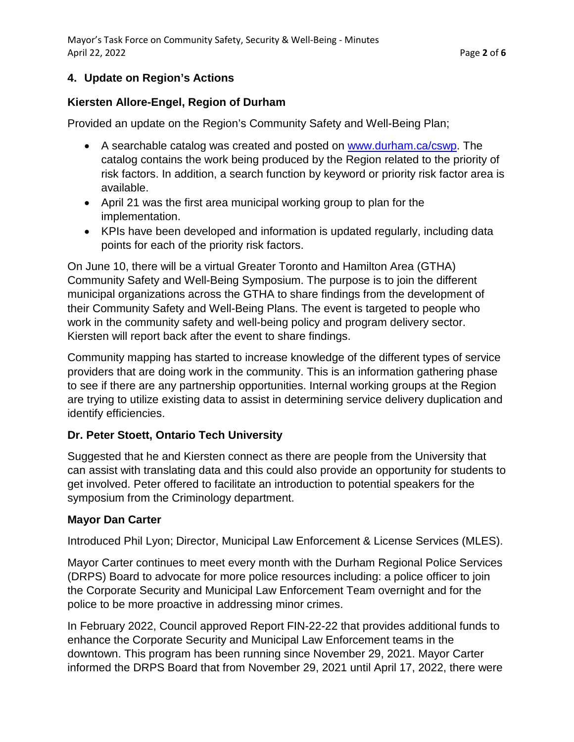## **4. Update on Region's Actions**

#### **Kiersten Allore-Engel, Region of Durham**

Provided an update on the Region's Community Safety and Well-Being Plan;

- A searchable catalog was created and posted on [www.durham.ca/cswp.](http://www.durham.ca/cswp) The catalog contains the work being produced by the Region related to the priority of risk factors. In addition, a search function by keyword or priority risk factor area is available.
- April 21 was the first area municipal working group to plan for the implementation.
- KPIs have been developed and information is updated regularly, including data points for each of the priority risk factors.

On June 10, there will be a virtual Greater Toronto and Hamilton Area (GTHA) Community Safety and Well-Being Symposium. The purpose is to join the different municipal organizations across the GTHA to share findings from the development of their Community Safety and Well-Being Plans. The event is targeted to people who work in the community safety and well-being policy and program delivery sector. Kiersten will report back after the event to share findings.

Community mapping has started to increase knowledge of the different types of service providers that are doing work in the community. This is an information gathering phase to see if there are any partnership opportunities. Internal working groups at the Region are trying to utilize existing data to assist in determining service delivery duplication and identify efficiencies.

## **Dr. Peter Stoett, Ontario Tech University**

Suggested that he and Kiersten connect as there are people from the University that can assist with translating data and this could also provide an opportunity for students to get involved. Peter offered to facilitate an introduction to potential speakers for the symposium from the Criminology department.

#### **Mayor Dan Carter**

Introduced Phil Lyon; Director, Municipal Law Enforcement & License Services (MLES).

Mayor Carter continues to meet every month with the Durham Regional Police Services (DRPS) Board to advocate for more police resources including: a police officer to join the Corporate Security and Municipal Law Enforcement Team overnight and for the police to be more proactive in addressing minor crimes.

In February 2022, Council approved Report FIN-22-22 that provides additional funds to enhance the Corporate Security and Municipal Law Enforcement teams in the downtown. This program has been running since November 29, 2021. Mayor Carter informed the DRPS Board that from November 29, 2021 until April 17, 2022, there were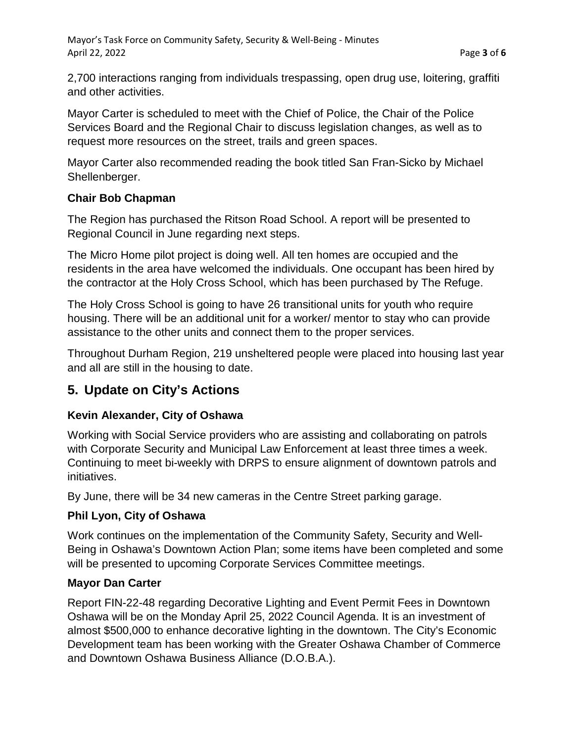2,700 interactions ranging from individuals trespassing, open drug use, loitering, graffiti and other activities.

Mayor Carter is scheduled to meet with the Chief of Police, the Chair of the Police Services Board and the Regional Chair to discuss legislation changes, as well as to request more resources on the street, trails and green spaces.

Mayor Carter also recommended reading the book titled San Fran-Sicko by Michael Shellenberger.

## **Chair Bob Chapman**

The Region has purchased the Ritson Road School. A report will be presented to Regional Council in June regarding next steps.

The Micro Home pilot project is doing well. All ten homes are occupied and the residents in the area have welcomed the individuals. One occupant has been hired by the contractor at the Holy Cross School, which has been purchased by The Refuge.

The Holy Cross School is going to have 26 transitional units for youth who require housing. There will be an additional unit for a worker/ mentor to stay who can provide assistance to the other units and connect them to the proper services.

Throughout Durham Region, 219 unsheltered people were placed into housing last year and all are still in the housing to date.

# **5. Update on City's Actions**

## **Kevin Alexander, City of Oshawa**

Working with Social Service providers who are assisting and collaborating on patrols with Corporate Security and Municipal Law Enforcement at least three times a week. Continuing to meet bi-weekly with DRPS to ensure alignment of downtown patrols and initiatives.

By June, there will be 34 new cameras in the Centre Street parking garage.

## **Phil Lyon, City of Oshawa**

Work continues on the implementation of the Community Safety, Security and Well-Being in Oshawa's Downtown Action Plan; some items have been completed and some will be presented to upcoming Corporate Services Committee meetings.

## **Mayor Dan Carter**

Report FIN-22-48 regarding Decorative Lighting and Event Permit Fees in Downtown Oshawa will be on the Monday April 25, 2022 Council Agenda. It is an investment of almost \$500,000 to enhance decorative lighting in the downtown. The City's Economic Development team has been working with the Greater Oshawa Chamber of Commerce and Downtown Oshawa Business Alliance (D.O.B.A.).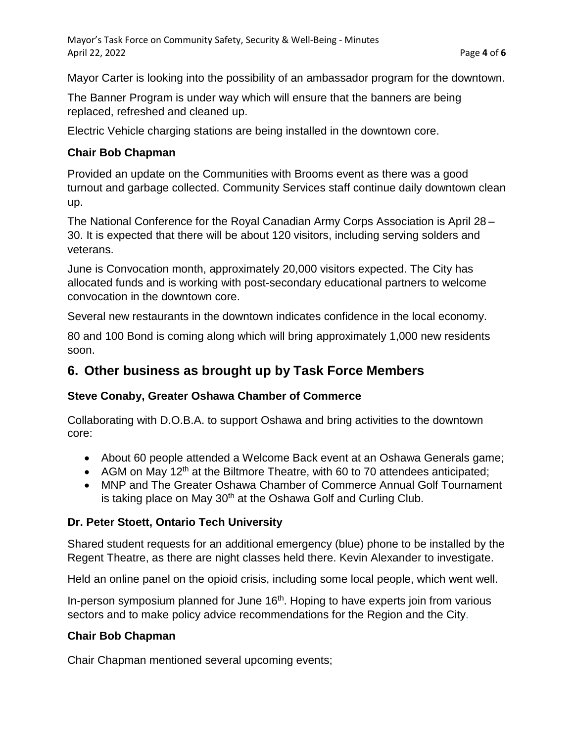Mayor Carter is looking into the possibility of an ambassador program for the downtown.

The Banner Program is under way which will ensure that the banners are being replaced, refreshed and cleaned up.

Electric Vehicle charging stations are being installed in the downtown core.

## **Chair Bob Chapman**

Provided an update on the Communities with Brooms event as there was a good turnout and garbage collected. Community Services staff continue daily downtown clean up.

The National Conference for the Royal Canadian Army Corps Association is April 28 – 30. It is expected that there will be about 120 visitors, including serving solders and veterans.

June is Convocation month, approximately 20,000 visitors expected. The City has allocated funds and is working with post-secondary educational partners to welcome convocation in the downtown core.

Several new restaurants in the downtown indicates confidence in the local economy.

80 and 100 Bond is coming along which will bring approximately 1,000 new residents soon.

## **6. Other business as brought up by Task Force Members**

## **Steve Conaby, Greater Oshawa Chamber of Commerce**

Collaborating with D.O.B.A. to support Oshawa and bring activities to the downtown core:

- About 60 people attended a Welcome Back event at an Oshawa Generals game;
- AGM on May 12<sup>th</sup> at the Biltmore Theatre, with 60 to 70 attendees anticipated;
- MNP and The Greater Oshawa Chamber of Commerce Annual Golf Tournament is taking place on May 30<sup>th</sup> at the Oshawa Golf and Curling Club.

## **Dr. Peter Stoett, Ontario Tech University**

Shared student requests for an additional emergency (blue) phone to be installed by the Regent Theatre, as there are night classes held there. Kevin Alexander to investigate.

Held an online panel on the opioid crisis, including some local people, which went well.

In-person symposium planned for June 16<sup>th</sup>. Hoping to have experts join from various sectors and to make policy advice recommendations for the Region and the City.

## **Chair Bob Chapman**

Chair Chapman mentioned several upcoming events;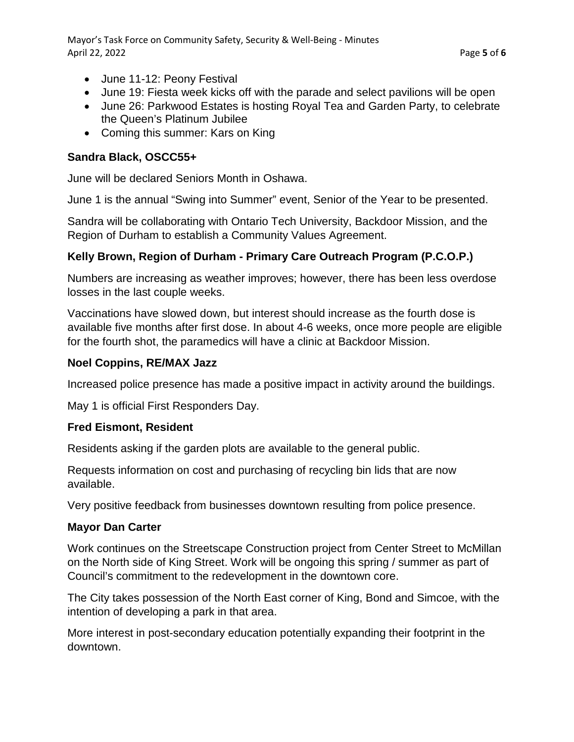- June 11-12: Peony Festival
- June 19: Fiesta week kicks off with the parade and select pavilions will be open
- June 26: Parkwood Estates is hosting Royal Tea and Garden Party, to celebrate the Queen's Platinum Jubilee
- Coming this summer: Kars on King

#### **Sandra Black, OSCC55+**

June will be declared Seniors Month in Oshawa.

June 1 is the annual "Swing into Summer" event, Senior of the Year to be presented.

Sandra will be collaborating with Ontario Tech University, Backdoor Mission, and the Region of Durham to establish a Community Values Agreement.

## **Kelly Brown, Region of Durham - Primary Care Outreach Program (P.C.O.P.)**

Numbers are increasing as weather improves; however, there has been less overdose losses in the last couple weeks.

Vaccinations have slowed down, but interest should increase as the fourth dose is available five months after first dose. In about 4-6 weeks, once more people are eligible for the fourth shot, the paramedics will have a clinic at Backdoor Mission.

## **Noel Coppins, RE/MAX Jazz**

Increased police presence has made a positive impact in activity around the buildings.

May 1 is official First Responders Day.

## **Fred Eismont, Resident**

Residents asking if the garden plots are available to the general public.

Requests information on cost and purchasing of recycling bin lids that are now available.

Very positive feedback from businesses downtown resulting from police presence.

#### **Mayor Dan Carter**

Work continues on the Streetscape Construction project from Center Street to McMillan on the North side of King Street. Work will be ongoing this spring / summer as part of Council's commitment to the redevelopment in the downtown core.

The City takes possession of the North East corner of King, Bond and Simcoe, with the intention of developing a park in that area.

More interest in post-secondary education potentially expanding their footprint in the downtown.